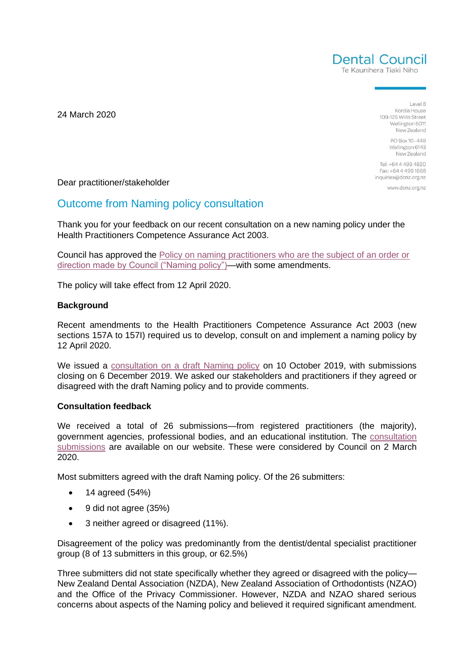

Te Kaunihera Tiaki Niho

24 March 2020

 $A = 1$ Kordia House 109-125 Willis Street Wellington 6011 New Zealand

> PO Box 10-448 Wellington 6143 New Zealand

Tel: +64 4 499 4820 Fax: +64 4 499 1668 inquiries@dcnz.org.nz

www.dcnz.org.nz

Dear practitioner/stakeholder

# Outcome from Naming policy consultation

Thank you for your feedback on our recent consultation on a new naming policy under the Health Practitioners Competence Assurance Act 2003.

Council has approved the [Policy on naming practitioners who are the subject of an order or](https://www.dcnz.org.nz/assets/Uploads/Policies/DENTAL-COUNCIL-Naming-policy-March-2020.pdf)  [direction made by Council \("Naming policy"\)—](https://www.dcnz.org.nz/assets/Uploads/Policies/DENTAL-COUNCIL-Naming-policy-March-2020.pdf)with some amendments.

The policy will take effect from 12 April 2020.

### **Background**

Recent amendments to the Health Practitioners Competence Assurance Act 2003 (new sections 157A to 157I) required us to develop, consult on and implement a naming policy by 12 April 2020.

We issued a [consultation on a draft Naming policy](https://www.dcnz.org.nz/assets/Uploads/Consultations/2019/Naming-Policy/Draft-Consultation-document-on-Naming-Policy-with-appendices-1-and-2.pdf) on 10 October 2019, with submissions closing on 6 December 2019. We asked our stakeholders and practitioners if they agreed or disagreed with the draft Naming policy and to provide comments.

## **Consultation feedback**

We received a total of 26 submissions—from registered practitioners (the majority), government agencies, professional bodies, and an educational institution. The [consultation](https://www.dcnz.org.nz/resources-and-publications/publications/closed-consultations/consultation-submissions-on-a-naming-policy-under-the-health-practitioners-competence-assurance-act-2003/)  [submissions](https://www.dcnz.org.nz/resources-and-publications/publications/closed-consultations/consultation-submissions-on-a-naming-policy-under-the-health-practitioners-competence-assurance-act-2003/) are available on our website. These were considered by Council on 2 March 2020.

Most submitters agreed with the draft Naming policy. Of the 26 submitters:

- 14 agreed (54%)
- 9 did not agree (35%)
- 3 neither agreed or disagreed (11%).

Disagreement of the policy was predominantly from the dentist/dental specialist practitioner group (8 of 13 submitters in this group, or 62.5%)

Three submitters did not state specifically whether they agreed or disagreed with the policy— New Zealand Dental Association (NZDA), New Zealand Association of Orthodontists (NZAO) and the Office of the Privacy Commissioner. However, NZDA and NZAO shared serious concerns about aspects of the Naming policy and believed it required significant amendment.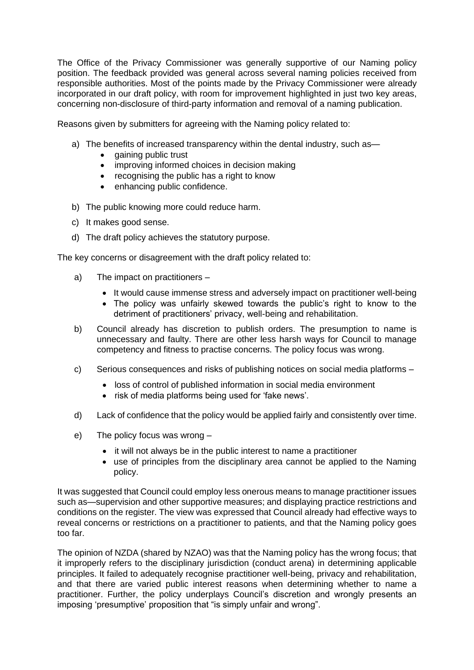The Office of the Privacy Commissioner was generally supportive of our Naming policy position. The feedback provided was general across several naming policies received from responsible authorities. Most of the points made by the Privacy Commissioner were already incorporated in our draft policy, with room for improvement highlighted in just two key areas, concerning non-disclosure of third-party information and removal of a naming publication.

Reasons given by submitters for agreeing with the Naming policy related to:

- a) The benefits of increased transparency within the dental industry, such as—
	- gaining public trust
	- improving informed choices in decision making
	- recognising the public has a right to know
	- enhancing public confidence.
- b) The public knowing more could reduce harm.
- c) It makes good sense.
- d) The draft policy achieves the statutory purpose.

The key concerns or disagreement with the draft policy related to:

- a) The impact on practitioners
	- It would cause immense stress and adversely impact on practitioner well-being
	- The policy was unfairly skewed towards the public's right to know to the detriment of practitioners' privacy, well-being and rehabilitation.
- b) Council already has discretion to publish orders. The presumption to name is unnecessary and faulty. There are other less harsh ways for Council to manage competency and fitness to practise concerns. The policy focus was wrong.
- c) Serious consequences and risks of publishing notices on social media platforms
	- loss of control of published information in social media environment
	- risk of media platforms being used for 'fake news'.
- d) Lack of confidence that the policy would be applied fairly and consistently over time.
- e) The policy focus was wrong
	- it will not always be in the public interest to name a practitioner
	- use of principles from the disciplinary area cannot be applied to the Naming policy.

It was suggested that Council could employ less onerous means to manage practitioner issues such as—supervision and other supportive measures; and displaying practice restrictions and conditions on the register. The view was expressed that Council already had effective ways to reveal concerns or restrictions on a practitioner to patients, and that the Naming policy goes too far.

The opinion of NZDA (shared by NZAO) was that the Naming policy has the wrong focus; that it improperly refers to the disciplinary jurisdiction (conduct arena) in determining applicable principles. It failed to adequately recognise practitioner well-being, privacy and rehabilitation, and that there are varied public interest reasons when determining whether to name a practitioner. Further, the policy underplays Council's discretion and wrongly presents an imposing 'presumptive' proposition that "is simply unfair and wrong".